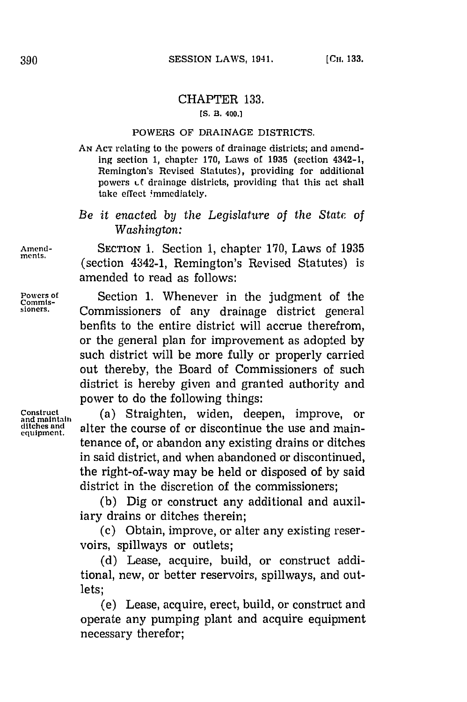# CHAPTER **133.**

#### **[S. B. 400.]**

#### POWERS OF DRAINAGE DISTRICTS.

**AN ACT** relating to the powers of drainage districts; and amending section **1,** chapter **170,** Laws of **1935** (section 4342-1, Remington's Revised Statutes), providing for additional powers *Lt* drainage districts, providing that this act shall take effect immediately.

*Be it enacted by the Legislature of the State of Washington:*

**Amend-** SECTION **1.** Section **1,** chapter **170,** Laws of **1935** (section 4342-1, Remington's Revised Statutes) is amended to read as follows:

Powers of **Section 1. Whenever in the judgment of the** Commis**commis- sioners.** Commissioners of any drainage district general benfits to the entire district will accrue therefrom, or the general plan for improvement as adopted **by** such district will be more fully or properly carried out thereby, the Board of Commissioners of such district is hereby given and granted authority and power to do the following things:

Construct (a) Straighten, widen, deepen, improve, or ditches and **alter the course of or discontinue the use and main-** equipment. tenance of, or abandon any existing drains or ditches in said district, and when abandoned or discontinued, the right-of-way may be held or disposed of **by** said district in the discretion of the commissioners;

> **(b)** Dig or construct any additional and auxiliary drains or ditches therein;

> (c) Obtain, improve, or alter any existing reservoirs, spillways or outlets;

> **(d)** Lease, acquire, build, or construct additional, new, or better reservoirs, spillways, and outlets;

> (e) Lease, acquire, erect, build, or construct and operate any pumping plant and acquire equipment necessary therefor;